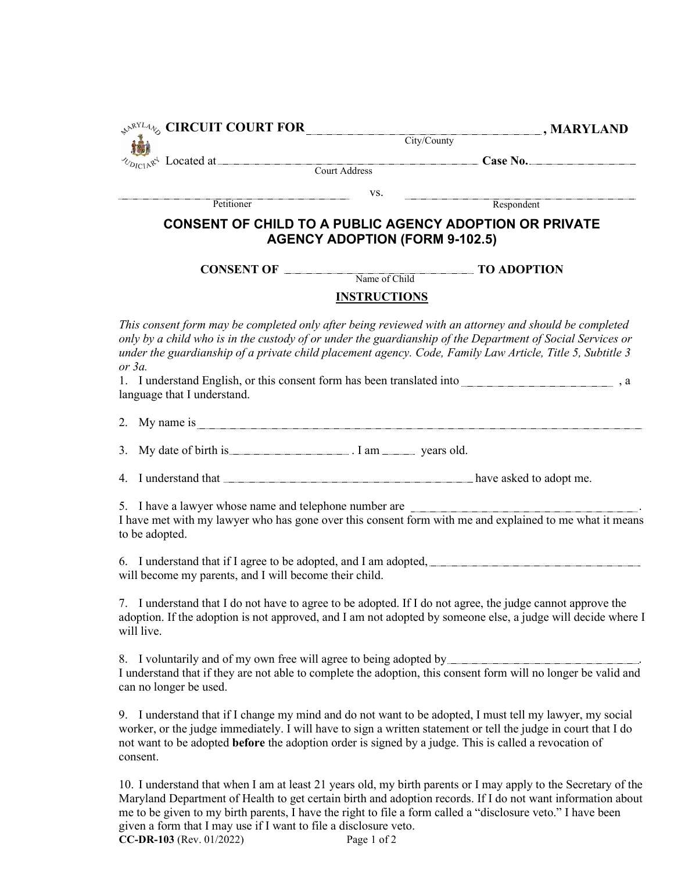| $\mathcal{P}^{\mathcal{R}^{NL4}\psi}$ CIRCUIT COURT FOR                                                    |                                       | $\Box$ , MARYLAND                                                                                                                                                                                                                                                                                                                   |
|------------------------------------------------------------------------------------------------------------|---------------------------------------|-------------------------------------------------------------------------------------------------------------------------------------------------------------------------------------------------------------------------------------------------------------------------------------------------------------------------------------|
|                                                                                                            |                                       | $\overline{\text{City/Country}}$                                                                                                                                                                                                                                                                                                    |
|                                                                                                            |                                       | $\int_{\mathbb{R}^4}$ Located at Court Address Case No.                                                                                                                                                                                                                                                                             |
|                                                                                                            |                                       |                                                                                                                                                                                                                                                                                                                                     |
| Petitioner                                                                                                 | VS.                                   | Respondent                                                                                                                                                                                                                                                                                                                          |
|                                                                                                            |                                       |                                                                                                                                                                                                                                                                                                                                     |
|                                                                                                            | <b>AGENCY ADOPTION (FORM 9-102.5)</b> | <b>CONSENT OF CHILD TO A PUBLIC AGENCY ADOPTION OR PRIVATE</b>                                                                                                                                                                                                                                                                      |
| <b>CONSENT OF</b>                                                                                          | Name of Child                         | <b>TO ADOPTION</b>                                                                                                                                                                                                                                                                                                                  |
|                                                                                                            |                                       |                                                                                                                                                                                                                                                                                                                                     |
|                                                                                                            | <b>INSTRUCTIONS</b>                   |                                                                                                                                                                                                                                                                                                                                     |
| or $3a$ .<br>language that I understand.                                                                   |                                       | This consent form may be completed only after being reviewed with an attorney and should be completed<br>only by a child who is in the custody of or under the guardianship of the Department of Social Services or<br>under the guardianship of a private child placement agency. Code, Family Law Article, Title 5, Subtitle 3    |
|                                                                                                            |                                       |                                                                                                                                                                                                                                                                                                                                     |
| 3.                                                                                                         |                                       |                                                                                                                                                                                                                                                                                                                                     |
|                                                                                                            |                                       |                                                                                                                                                                                                                                                                                                                                     |
| 5. I have a lawyer whose name and telephone number are<br>to be adopted.                                   |                                       | I have met with my lawyer who has gone over this consent form with me and explained to me what it means                                                                                                                                                                                                                             |
| will become my parents, and I will become their child.                                                     |                                       |                                                                                                                                                                                                                                                                                                                                     |
| will live.                                                                                                 |                                       | 7. I understand that I do not have to agree to be adopted. If I do not agree, the judge cannot approve the<br>adoption. If the adoption is not approved, and I am not adopted by someone else, a judge will decide where I                                                                                                          |
| 8. I voluntarily and of my own free will agree to being adopted by _____________<br>can no longer be used. |                                       | I understand that if they are not able to complete the adoption, this consent form will no longer be valid and                                                                                                                                                                                                                      |
| consent.                                                                                                   |                                       | 9. I understand that if I change my mind and do not want to be adopted, I must tell my lawyer, my social<br>worker, or the judge immediately. I will have to sign a written statement or tell the judge in court that I do<br>not want to be adopted before the adoption order is signed by a judge. This is called a revocation of |
|                                                                                                            |                                       | 10 I understand that when I am at least 21 years ald my birth parants or I may apply to the Secretary of the                                                                                                                                                                                                                        |

10. I understand that when I am at least 21 years old, my birth parents or I may apply to the Secretary of the Maryland Department of Health to get certain birth and adoption records. If I do not want information about me to be given to my birth parents, I have the right to file a form called a "disclosure veto." I have been given a form that I may use if I want to file a disclosure veto. **CC-DR-103** (Rev. 01/2022) Page 1 of 2